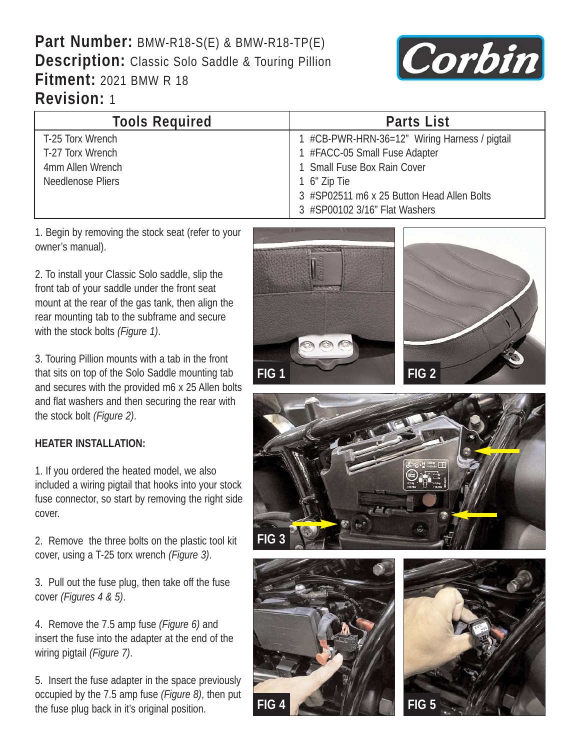## **Part Number:** BMW-R18-S(E) & BMW-R18-TP(E) **Description:** Classic Solo Saddle & Touring Pillion **Fitment:** 2021 BMW R 18 **Revision:** 1



| <b>Tools Required</b> | <b>Parts List</b>                             |
|-----------------------|-----------------------------------------------|
| T-25 Torx Wrench      | 1 #CB-PWR-HRN-36=12" Wiring Harness / pigtail |
| T-27 Torx Wrench      | 1 #FACC-05 Small Fuse Adapter                 |
| 4mm Allen Wrench      | 1 Small Fuse Box Rain Cover                   |
| Needlenose Pliers     | 1 6" Zip Tie                                  |
|                       | 3 #SP02511 m6 x 25 Button Head Allen Bolts    |
|                       | 3 #SP00102 3/16" Flat Washers                 |

1. Begin by removing the stock seat (refer to your owner's manual).

2. To install your Classic Solo saddle, slip the front tab of your saddle under the front seat mount at the rear of the gas tank, then align the rear mounting tab to the subframe and secure with the stock bolts *(Figure 1)*.

3. Touring Pillion mounts with a tab in the front that sits on top of the Solo Saddle mounting tab and secures with the provided m6 x 25 Allen bolts and flat washers and then securing the rear with the stock bolt *(Figure 2)*.

## **HEATER INSTALLATION:**

1. If you ordered the heated model, we also included a wiring pigtail that hooks into your stock fuse connector, so start by removing the right side cover.

2. Remove the three bolts on the plastic tool kit cover, using a T-25 torx wrench *(Figure 3)*.

3. Pull out the fuse plug, then take off the fuse cover *(Figures 4 & 5)*.

4. Remove the 7.5 amp fuse *(Figure 6)* and insert the fuse into the adapter at the end of the wiring pigtail *(Figure 7)*.

5. Insert the fuse adapter in the space previously occupied by the 7.5 amp fuse *(Figure 8)*, then put the fuse plug back in it's original position. **FIG 4 FIG 5**